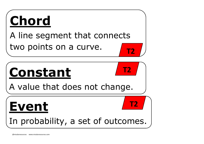#### **constant Constant**

#### A line segment that connects two points on a curve.

# **Chord**

#### A value that does not change.

**T2**

# **Event**

#### In probability, a set of outcomes.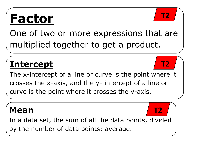# **Factor**

One of two or more expressions that are multiplied together to get a product.

#### **Intercept**

**constant**  The x-intercept of a line or curve is the point where it crosses the x-axis, and the y- intercept of a line or curve is the point where it crosses the y-axis.



#### **Mean**

In a data set, the sum of all the data points, divided by the number of data points; average.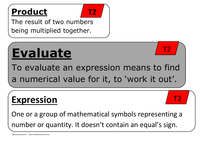

The result of two numbers being multiplied together.



# **Evaluate**

To evaluate an expression means to find a numerical value for it, to 'work it out'.



#### **Expression**

One or a group of mathematical symbols representing a number or quantity. It doesn't contain an equal's sign.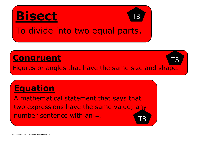A mathematical statement that says that two expressions have the same value; any number sentence with  $an = 1$ 

#### **Equation**



#### **Congruent**

Figures or angles that have the same size and shape.

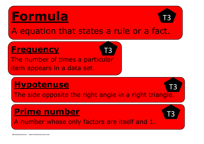# **Formula**

A equation that states a rule or a fact.



#### **Frequency**

The number of times a particular item appears in a data set.



#### **Hypotenuse**

The side opposite the right angle in a right triangle.

#### **Prime number**



A number whose only factors are itself and 1.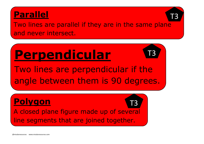#### **Parallel**

Two lines are parallel if they are in the same plane and never intersect.



# **Perpendicular**

Two lines are perpendicular if the angle between them is 90 degrees.



**Polygon** 

A closed plane figure made up of several line segments that are joined together.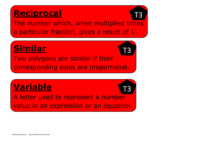#### **Reciprocal**

The number which, when multiplied times a particular fraction, gives a result of 1.

#### **Similar**

#### **Variable**

Two polygons are similar if their corresponding sides are proportional. T3

A letter used to represent a number value in an expression or an equation.

T3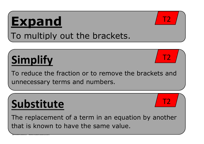@missbsresources www.missbsresources.com

# **Expand**

#### To multiply out the brackets.

# **Simplify**

To reduce the fraction or to remove the brackets and unnecessary terms and numbers.



# **Substitute**

The replacement of a term in an equation by another that is known to have the same value.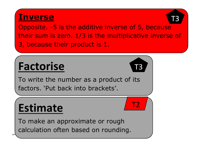#### **Inverse**

Opposite. -5 is the additive inverse of 5, because their sum is zero. 1/3 is the multiplicative inverse of 3, because their product is 1.



#### **Factorise**

To write the number as a product of its factors. 'Put back into brackets'.

## **Estimate**

To make an approximate or rough calculation often based on rounding.